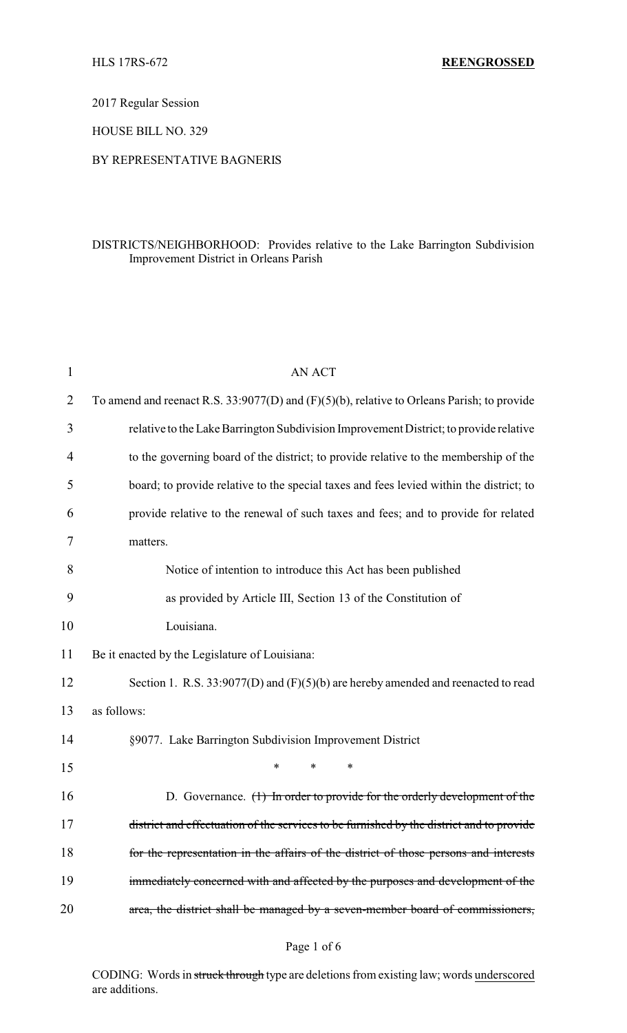2017 Regular Session

HOUSE BILL NO. 329

## BY REPRESENTATIVE BAGNERIS

## DISTRICTS/NEIGHBORHOOD: Provides relative to the Lake Barrington Subdivision Improvement District in Orleans Parish

| $\mathbf{1}$ | <b>AN ACT</b>                                                                                 |
|--------------|-----------------------------------------------------------------------------------------------|
| 2            | To amend and reenact R.S. 33:9077(D) and $(F)(5)(b)$ , relative to Orleans Parish; to provide |
| 3            | relative to the Lake Barrington Subdivision Improvement District; to provide relative         |
| 4            | to the governing board of the district; to provide relative to the membership of the          |
| 5            | board; to provide relative to the special taxes and fees levied within the district; to       |
| 6            | provide relative to the renewal of such taxes and fees; and to provide for related            |
| 7            | matters.                                                                                      |
| 8            | Notice of intention to introduce this Act has been published                                  |
| 9            | as provided by Article III, Section 13 of the Constitution of                                 |
| 10           | Louisiana.                                                                                    |
| 11           | Be it enacted by the Legislature of Louisiana:                                                |
| 12           | Section 1. R.S. $33:9077(D)$ and $(F)(5)(b)$ are hereby amended and reenacted to read         |
| 13           | as follows:                                                                                   |
| 14           | §9077. Lake Barrington Subdivision Improvement District                                       |
| 15           | $\ast$<br>$\ast$<br>∗                                                                         |
| 16           | D. Governance. $(1)$ In order to provide for the orderly development of the                   |
| 17           | district and effectuation of the services to be furnished by the district and to provide      |
| 18           | for the representation in the affairs of the district of those persons and interests          |
| 19           | immediately concerned with and affected by the purposes and development of the                |
| 20           | area, the district shall be managed by a seven-member board of commissioners,                 |
|              |                                                                                               |

# Page 1 of 6

CODING: Words in struck through type are deletions from existing law; words underscored are additions.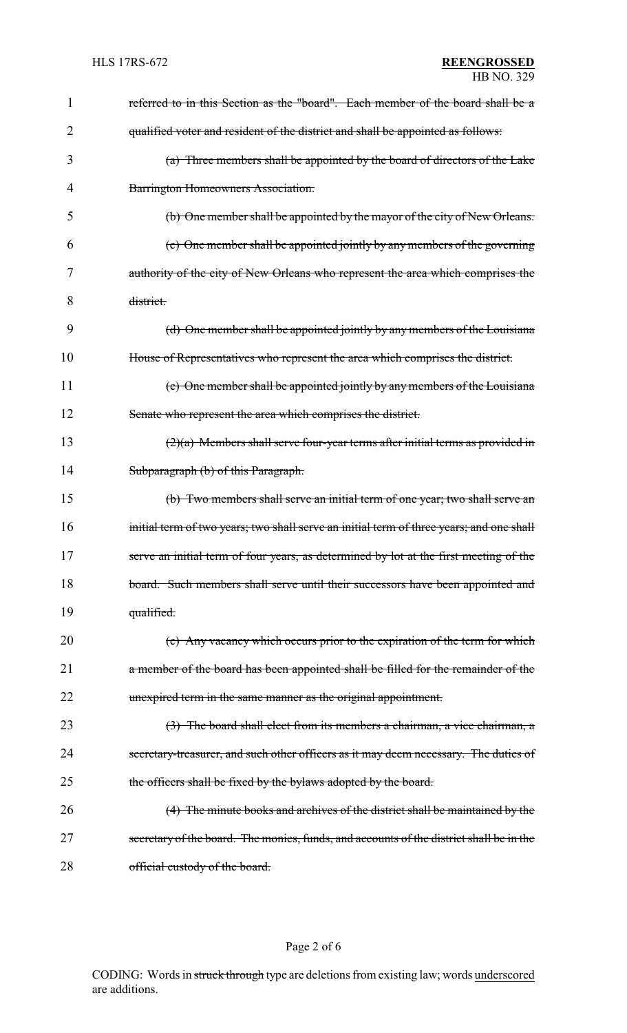| 1  | referred to in this Section as the "board". Each member of the board shall be a          |
|----|------------------------------------------------------------------------------------------|
| 2  | qualified voter and resident of the district and shall be appointed as follows:          |
| 3  | (a) Three members shall be appointed by the board of directors of the Lake               |
| 4  | Barrington Homeowners Association.                                                       |
| 5  | (b) One member shall be appointed by the mayor of the city of New Orleans.               |
| 6  | (c) One member shall be appointed jointly by any members of the governing                |
| 7  | authority of the city of New Orleans who represent the area which comprises the          |
| 8  | district.                                                                                |
| 9  | (d) One member shall be appointed jointly by any members of the Louisiana                |
| 10 | House of Representatives who represent the area which comprises the district.            |
| 11 | (e) One member shall be appointed jointly by any members of the Louisiana                |
| 12 | Senate who represent the area which comprises the district.                              |
| 13 | $(2)(a)$ Members shall serve four-year terms after initial terms as provided in          |
| 14 | Subparagraph (b) of this Paragraph.                                                      |
| 15 | (b) Two members shall serve an initial term of one year; two shall serve an              |
| 16 | initial term of two years; two shall serve an initial term of three years; and one shall |
| 17 | serve an initial term of four years, as determined by lot at the first meeting of the    |
| 18 | board. Such members shall serve until their successors have been appointed and           |
| 19 | qualified.                                                                               |
| 20 | (c) Any vacancy which occurs prior to the expiration of the term for which               |
| 21 | a member of the board has been appointed shall be filled for the remainder of the        |
| 22 | unexpired term in the same manner as the original appointment.                           |
| 23 | (3) The board shall elect from its members a chairman, a vice chairman, a                |
| 24 | secretary-treasurer, and such other officers as it may deem necessary. The duties of     |
| 25 | the officers shall be fixed by the bylaws adopted by the board.                          |
| 26 | (4) The minute books and archives of the district shall be maintained by the             |
| 27 | secretary of the board. The monies, funds, and accounts of the district shall be in the  |
| 28 | official custody of the board.                                                           |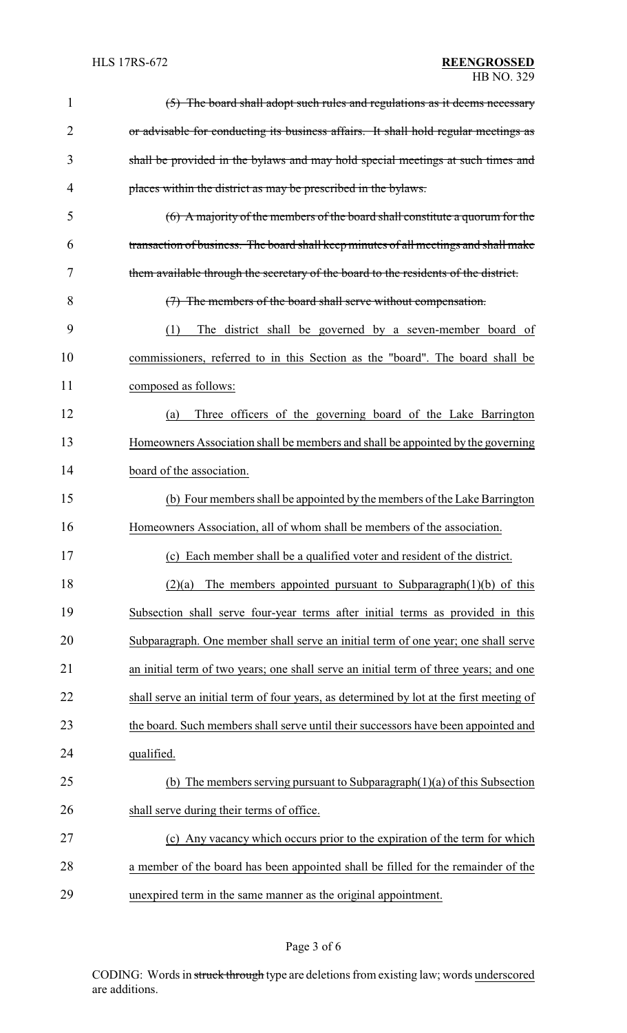| $\mathbf{1}$ | (5) The board shall adopt such rules and regulations as it deems necessary              |
|--------------|-----------------------------------------------------------------------------------------|
| 2            | or advisable for conducting its business affairs. It shall hold regular meetings as     |
| 3            | shall be provided in the bylaws and may hold special meetings at such times and         |
| 4            | places within the district as may be prescribed in the bylaws.                          |
| 5            | $(6)$ A majority of the members of the board shall constitute a quorum for the          |
| 6            | transaction of business. The board shall keep minutes of all meetings and shall make    |
| 7            | them available through the secretary of the board to the residents of the district.     |
| 8            | (7) The members of the board shall serve without compensation.                          |
| 9            | The district shall be governed by a seven-member board of<br>(1)                        |
| 10           | commissioners, referred to in this Section as the "board". The board shall be           |
| 11           | composed as follows:                                                                    |
| 12           | Three officers of the governing board of the Lake Barrington<br>(a)                     |
| 13           | Homeowners Association shall be members and shall be appointed by the governing         |
| 14           | board of the association.                                                               |
| 15           | (b) Four members shall be appointed by the members of the Lake Barrington               |
| 16           | Homeowners Association, all of whom shall be members of the association.                |
| 17           | (c) Each member shall be a qualified voter and resident of the district.                |
| 18           | The members appointed pursuant to Subparagraph $(1)(b)$ of this<br>(2)(a)               |
| 19           | Subsection shall serve four-year terms after initial terms as provided in this          |
| 20           | Subparagraph. One member shall serve an initial term of one year; one shall serve       |
| 21           | an initial term of two years; one shall serve an initial term of three years; and one   |
| 22           | shall serve an initial term of four years, as determined by lot at the first meeting of |
| 23           | the board. Such members shall serve until their successors have been appointed and      |
| 24           | qualified.                                                                              |
| 25           | (b) The members serving pursuant to Subparagraph $(1)(a)$ of this Subsection            |
| 26           | shall serve during their terms of office.                                               |
| 27           | (c) Any vacancy which occurs prior to the expiration of the term for which              |
| 28           | a member of the board has been appointed shall be filled for the remainder of the       |
| 29           | unexpired term in the same manner as the original appointment.                          |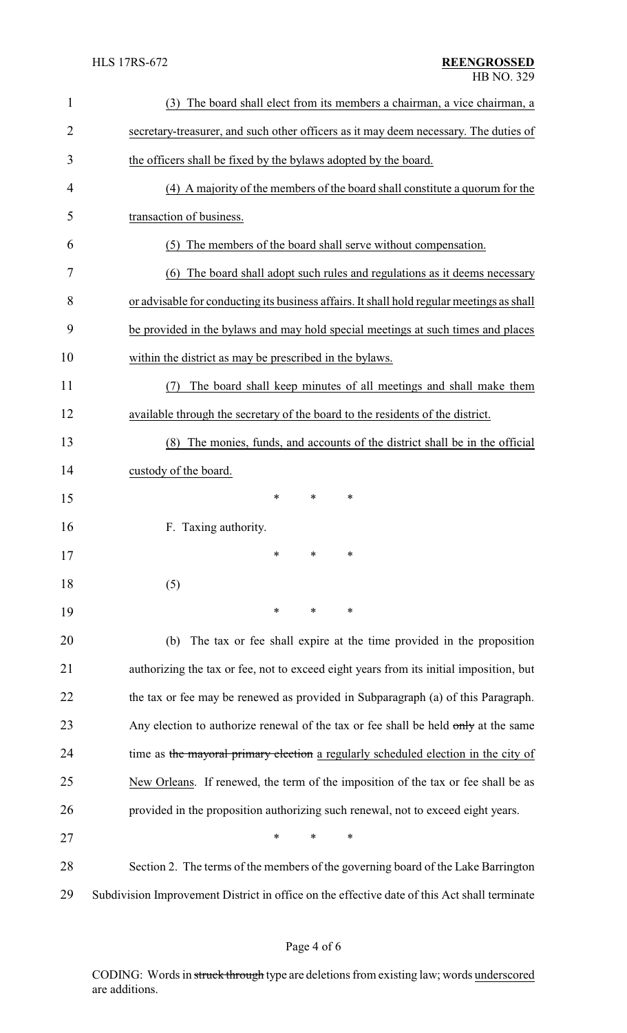| $\mathbf{1}$   | (3) The board shall elect from its members a chairman, a vice chairman, a                    |  |  |
|----------------|----------------------------------------------------------------------------------------------|--|--|
| $\overline{2}$ | secretary-treasurer, and such other officers as it may deem necessary. The duties of         |  |  |
| 3              | the officers shall be fixed by the bylaws adopted by the board.                              |  |  |
| 4              | (4) A majority of the members of the board shall constitute a quorum for the                 |  |  |
| 5              | transaction of business.                                                                     |  |  |
| 6              | The members of the board shall serve without compensation.<br>(5)                            |  |  |
| 7              | The board shall adopt such rules and regulations as it deems necessary<br>(6)                |  |  |
| 8              | or advisable for conducting its business affairs. It shall hold regular meetings as shall    |  |  |
| 9              | be provided in the bylaws and may hold special meetings at such times and places             |  |  |
| 10             | within the district as may be prescribed in the bylaws.                                      |  |  |
| 11             | The board shall keep minutes of all meetings and shall make them<br>(7)                      |  |  |
| 12             | available through the secretary of the board to the residents of the district.               |  |  |
| 13             | The monies, funds, and accounts of the district shall be in the official<br>(8)              |  |  |
| 14             | custody of the board.                                                                        |  |  |
| 15             | $\ast$<br>∗<br>*                                                                             |  |  |
| 16             | F. Taxing authority.                                                                         |  |  |
| 17             | $\ast$                                                                                       |  |  |
| 18             | (5)                                                                                          |  |  |
| 19             | ∗<br>∗<br>∗                                                                                  |  |  |
| 20             | The tax or fee shall expire at the time provided in the proposition<br>(b)                   |  |  |
| 21             | authorizing the tax or fee, not to exceed eight years from its initial imposition, but       |  |  |
| 22             | the tax or fee may be renewed as provided in Subparagraph (a) of this Paragraph.             |  |  |
| 23             | Any election to authorize renewal of the tax or fee shall be held only at the same           |  |  |
| 24             | time as the mayoral primary election a regularly scheduled election in the city of           |  |  |
| 25             | New Orleans. If renewed, the term of the imposition of the tax or fee shall be as            |  |  |
| 26             | provided in the proposition authorizing such renewal, not to exceed eight years.             |  |  |
| 27             | *<br>*<br>∗                                                                                  |  |  |
| 28             | Section 2. The terms of the members of the governing board of the Lake Barrington            |  |  |
| 29             | Subdivision Improvement District in office on the effective date of this Act shall terminate |  |  |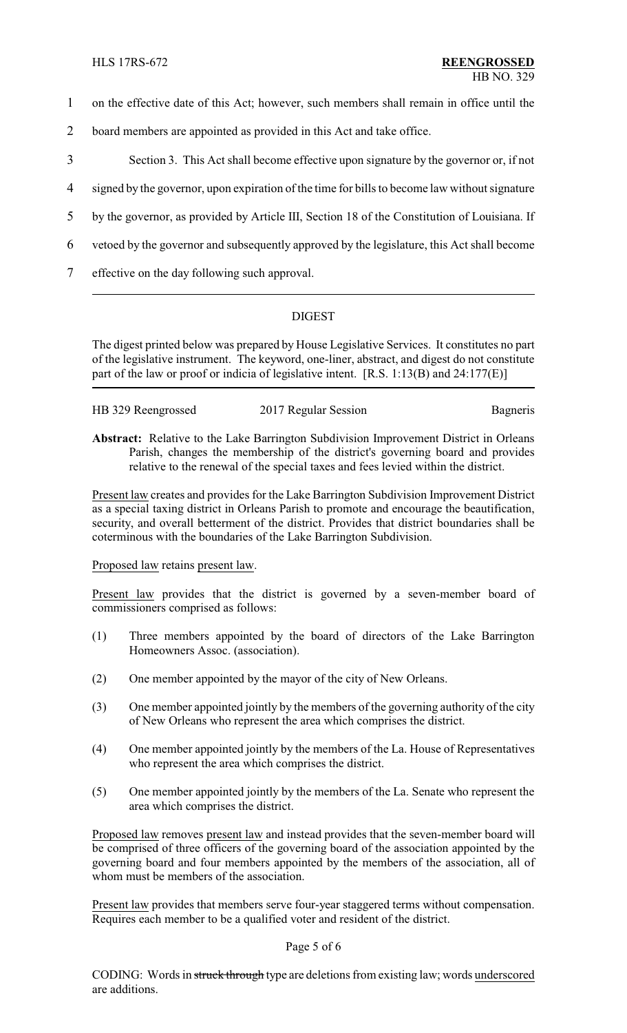- 1 on the effective date of this Act; however, such members shall remain in office until the
- 2 board members are appointed as provided in this Act and take office.
- 3 Section 3. This Act shall become effective upon signature by the governor or, if not
- 4 signed by the governor, upon expiration of the time for bills to become law without signature
- 5 by the governor, as provided by Article III, Section 18 of the Constitution of Louisiana. If
- 6 vetoed by the governor and subsequently approved by the legislature, this Act shall become
- 7 effective on the day following such approval.

# DIGEST

The digest printed below was prepared by House Legislative Services. It constitutes no part of the legislative instrument. The keyword, one-liner, abstract, and digest do not constitute part of the law or proof or indicia of legislative intent. [R.S. 1:13(B) and 24:177(E)]

| HB 329 Reengrossed | 2017 Regular Session | Bagneris |
|--------------------|----------------------|----------|

**Abstract:** Relative to the Lake Barrington Subdivision Improvement District in Orleans Parish, changes the membership of the district's governing board and provides relative to the renewal of the special taxes and fees levied within the district.

Present law creates and provides for the Lake Barrington Subdivision Improvement District as a special taxing district in Orleans Parish to promote and encourage the beautification, security, and overall betterment of the district. Provides that district boundaries shall be coterminous with the boundaries of the Lake Barrington Subdivision.

## Proposed law retains present law.

Present law provides that the district is governed by a seven-member board of commissioners comprised as follows:

- (1) Three members appointed by the board of directors of the Lake Barrington Homeowners Assoc. (association).
- (2) One member appointed by the mayor of the city of New Orleans.
- (3) One member appointed jointly by the members of the governing authority of the city of New Orleans who represent the area which comprises the district.
- (4) One member appointed jointly by the members of the La. House of Representatives who represent the area which comprises the district.
- (5) One member appointed jointly by the members of the La. Senate who represent the area which comprises the district.

Proposed law removes present law and instead provides that the seven-member board will be comprised of three officers of the governing board of the association appointed by the governing board and four members appointed by the members of the association, all of whom must be members of the association.

Present law provides that members serve four-year staggered terms without compensation. Requires each member to be a qualified voter and resident of the district.

#### Page 5 of 6

CODING: Words in struck through type are deletions from existing law; words underscored are additions.